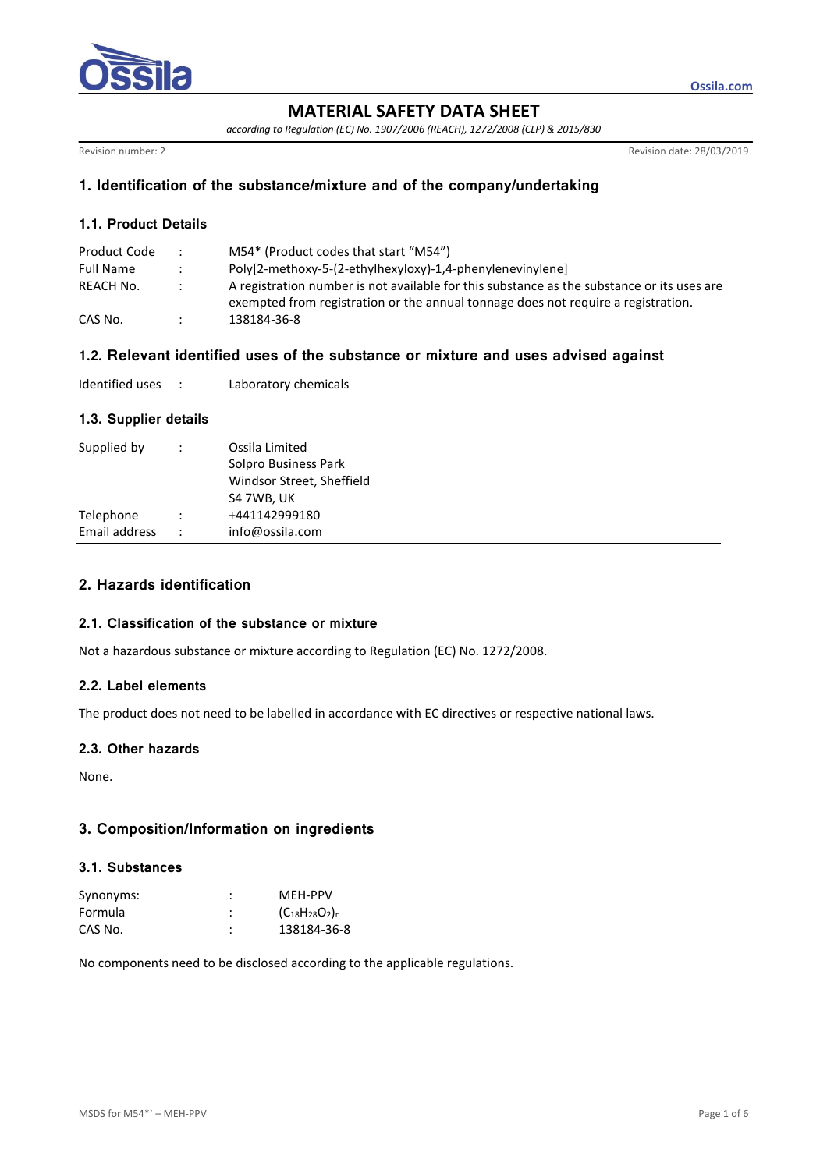

**MATERIAL SAFETY DATA SHEET** 

*according to Regulation (EC) No. 1907/2006 (REACH), 1272/2008 (CLP) & 2015/830* 

Revision number: 2<br>Revision number: 2<br>Revision date: 28/03/2019

**Ossila.com**

## **1. Identification of the substance/mixture and of the company/undertaking**

## **1.1. Product Details**

| Product Code     | $\mathcal{L}$        | M54* (Product codes that start "M54")                                                      |
|------------------|----------------------|--------------------------------------------------------------------------------------------|
| <b>Full Name</b> | $\ddot{\phantom{0}}$ | Poly[2-methoxy-5-(2-ethylhexyloxy)-1,4-phenylenevinylene]                                  |
| REACH No.        | $\mathcal{L}$        | A registration number is not available for this substance as the substance or its uses are |
|                  |                      | exempted from registration or the annual tonnage does not require a registration.          |
| CAS No.          |                      | 138184-36-8                                                                                |

# **1.2. Relevant identified uses of the substance or mixture and uses advised against**

| Identified uses |  | Laboratory chemicals |
|-----------------|--|----------------------|
|-----------------|--|----------------------|

## **1.3. Supplier details**

| Supplied by   | ÷                    | Ossila Limited<br>Solpro Business Park<br>Windsor Street, Sheffield<br>S4 7WB, UK |
|---------------|----------------------|-----------------------------------------------------------------------------------|
| Telephone     |                      | +441142999180                                                                     |
| Email address | $\ddot{\phantom{0}}$ | info@ossila.com                                                                   |
|               |                      |                                                                                   |

# **2. Hazards identification**

## **2.1. Classification of the substance or mixture**

Not a hazardous substance or mixture according to Regulation (EC) No. 1272/2008.

## **2.2. Label elements**

The product does not need to be labelled in accordance with EC directives or respective national laws.

## **2.3. Other hazards**

None.

# **3. Composition/Information on ingredients**

## **3.1. Substances**

| Synonyms: | MFH-PPV               |
|-----------|-----------------------|
| Formula   | $(C_{18}H_{28}O_2)_n$ |
| CAS No.   | 138184-36-8           |

No components need to be disclosed according to the applicable regulations.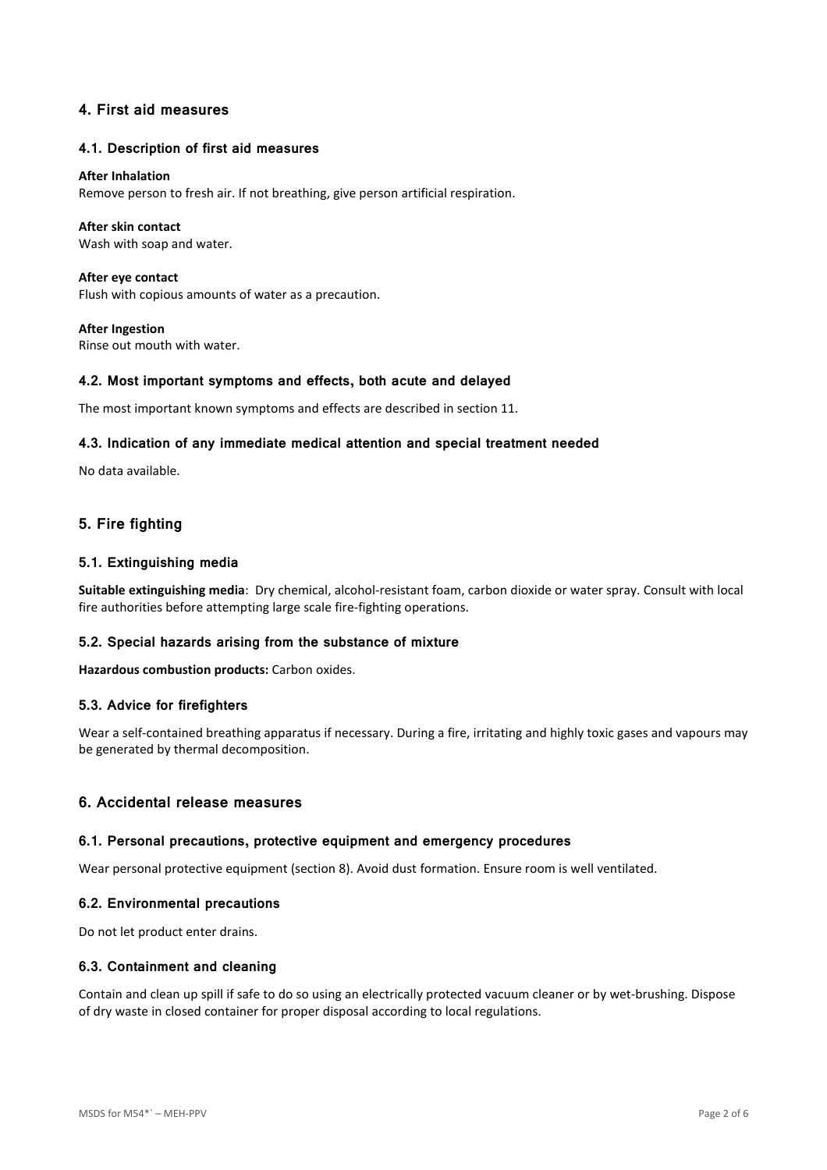## **4. First aid measures**

### **4.1. Description of first aid measures**

#### **After Inhalation**

Remove person to fresh air. If not breathing, give person artificial respiration.

### **After skin contact**

Wash with soap and water.

**After eye contact**  Flush with copious amounts of water as a precaution.

**After Ingestion**  Rinse out mouth with water.

### **4.2. Most important symptoms and effects, both acute and delayed**

The most important known symptoms and effects are described in section 11.

### **4.3. Indication of any immediate medical attention and special treatment needed**

No data available.

## **5. Fire fighting**

### **5.1. Extinguishing media**

**Suitable extinguishing media**: Dry chemical, alcohol-resistant foam, carbon dioxide or water spray. Consult with local fire authorities before attempting large scale fire-fighting operations.

## **5.2. Special hazards arising from the substance of mixture**

**Hazardous combustion products:** Carbon oxides.

#### **5.3. Advice for firefighters**

Wear a self-contained breathing apparatus if necessary. During a fire, irritating and highly toxic gases and vapours may be generated by thermal decomposition.

## **6. Accidental release measures**

#### **6.1. Personal precautions, protective equipment and emergency procedures**

Wear personal protective equipment (section 8). Avoid dust formation. Ensure room is well ventilated.

#### **6.2. Environmental precautions**

Do not let product enter drains.

#### **6.3. Containment and cleaning**

Contain and clean up spill if safe to do so using an electrically protected vacuum cleaner or by wet-brushing. Dispose of dry waste in closed container for proper disposal according to local regulations.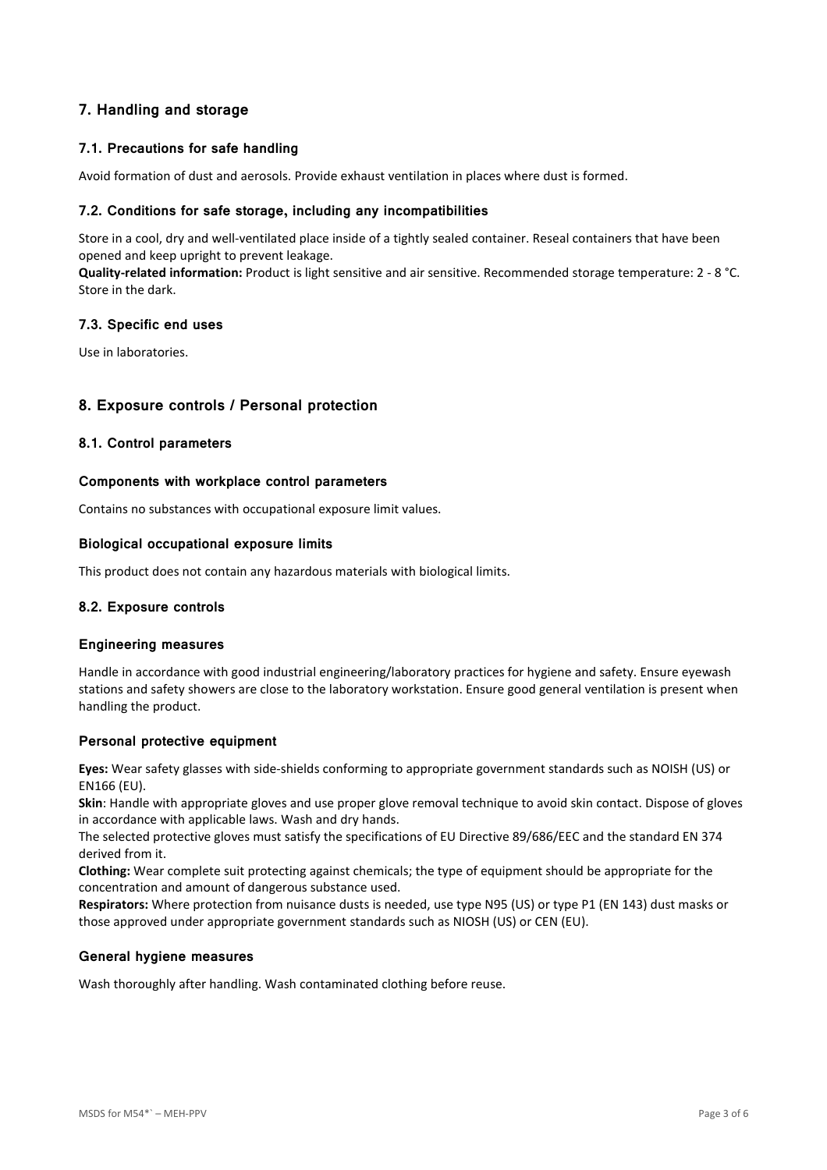# **7. Handling and storage**

## **7.1. Precautions for safe handling**

Avoid formation of dust and aerosols. Provide exhaust ventilation in places where dust is formed.

### **7.2. Conditions for safe storage, including any incompatibilities**

Store in a cool, dry and well-ventilated place inside of a tightly sealed container. Reseal containers that have been opened and keep upright to prevent leakage.

**Quality-related information:** Product is light sensitive and air sensitive. Recommended storage temperature: 2 - 8 °C. Store in the dark.

## **7.3. Specific end uses**

Use in laboratories.

## **8. Exposure controls / Personal protection**

## **8.1. Control parameters**

### **Components with workplace control parameters**

Contains no substances with occupational exposure limit values.

### **Biological occupational exposure limits**

This product does not contain any hazardous materials with biological limits.

## **8.2. Exposure controls**

### **Engineering measures**

Handle in accordance with good industrial engineering/laboratory practices for hygiene and safety. Ensure eyewash stations and safety showers are close to the laboratory workstation. Ensure good general ventilation is present when handling the product.

## **Personal protective equipment**

**Eyes:** Wear safety glasses with side-shields conforming to appropriate government standards such as NOISH (US) or EN166 (EU).

**Skin**: Handle with appropriate gloves and use proper glove removal technique to avoid skin contact. Dispose of gloves in accordance with applicable laws. Wash and dry hands.

The selected protective gloves must satisfy the specifications of EU Directive 89/686/EEC and the standard EN 374 derived from it.

**Clothing:** Wear complete suit protecting against chemicals; the type of equipment should be appropriate for the concentration and amount of dangerous substance used.

**Respirators:** Where protection from nuisance dusts is needed, use type N95 (US) or type P1 (EN 143) dust masks or those approved under appropriate government standards such as NIOSH (US) or CEN (EU).

#### **General hygiene measures**

Wash thoroughly after handling. Wash contaminated clothing before reuse.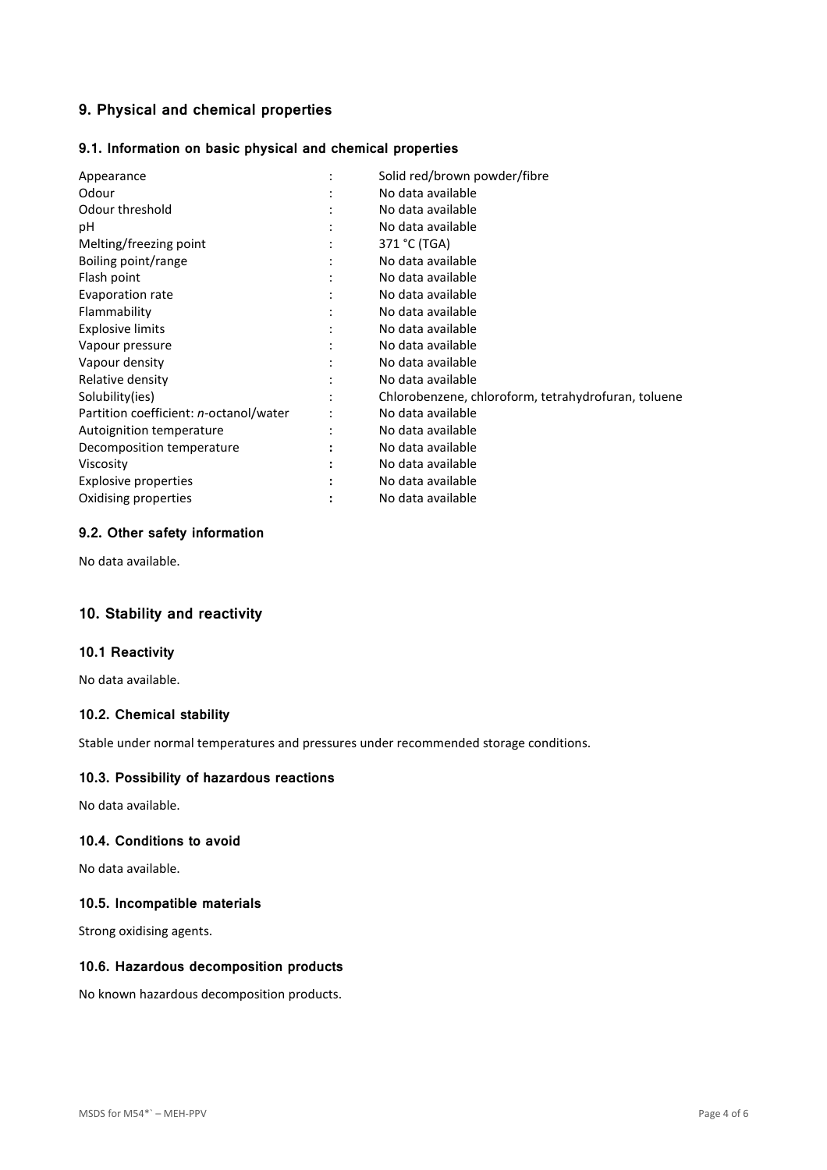# **9. Physical and chemical properties**

## **9.1. Information on basic physical and chemical properties**

| Solid red/brown powder/fibre                        |
|-----------------------------------------------------|
| No data available                                   |
| No data available                                   |
| No data available                                   |
| 371 °C (TGA)                                        |
| No data available                                   |
| No data available                                   |
| No data available                                   |
| No data available                                   |
| No data available                                   |
| No data available                                   |
| No data available                                   |
| No data available                                   |
| Chlorobenzene, chloroform, tetrahydrofuran, toluene |
| No data available                                   |
| No data available                                   |
| No data available                                   |
| No data available                                   |
| No data available                                   |
| No data available                                   |
|                                                     |

## **9.2. Other safety information**

No data available.

# **10. Stability and reactivity**

## **10.1 Reactivity**

No data available.

## **10.2. Chemical stability**

Stable under normal temperatures and pressures under recommended storage conditions.

## **10.3. Possibility of hazardous reactions**

No data available.

### **10.4. Conditions to avoid**

No data available.

## **10.5. Incompatible materials**

Strong oxidising agents.

## **10.6. Hazardous decomposition products**

No known hazardous decomposition products.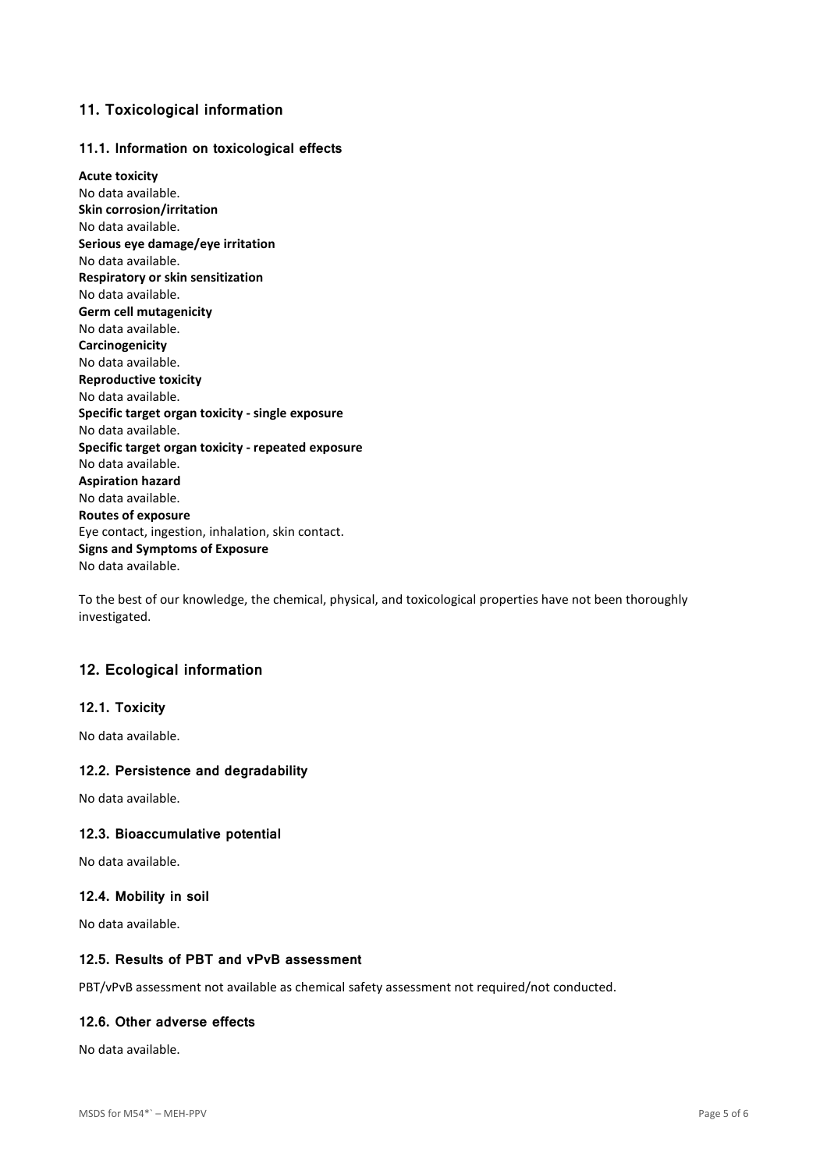## **11. Toxicological information**

### **11.1. Information on toxicological effects**

**Acute toxicity**  No data available. **Skin corrosion/irritation**  No data available. **Serious eye damage/eye irritation**  No data available. **Respiratory or skin sensitization**  No data available. **Germ cell mutagenicity**  No data available. **Carcinogenicity**  No data available. **Reproductive toxicity**  No data available. **Specific target organ toxicity - single exposure**  No data available. **Specific target organ toxicity - repeated exposure**  No data available. **Aspiration hazard**  No data available. **Routes of exposure**  Eye contact, ingestion, inhalation, skin contact. **Signs and Symptoms of Exposure**  No data available.

To the best of our knowledge, the chemical, physical, and toxicological properties have not been thoroughly investigated.

## **12. Ecological information**

### **12.1. Toxicity**

No data available.

#### **12.2. Persistence and degradability**

No data available.

### **12.3. Bioaccumulative potential**

No data available.

#### **12.4. Mobility in soil**

No data available.

#### **12.5. Results of PBT and vPvB assessment**

PBT/vPvB assessment not available as chemical safety assessment not required/not conducted.

#### **12.6. Other adverse effects**

No data available.